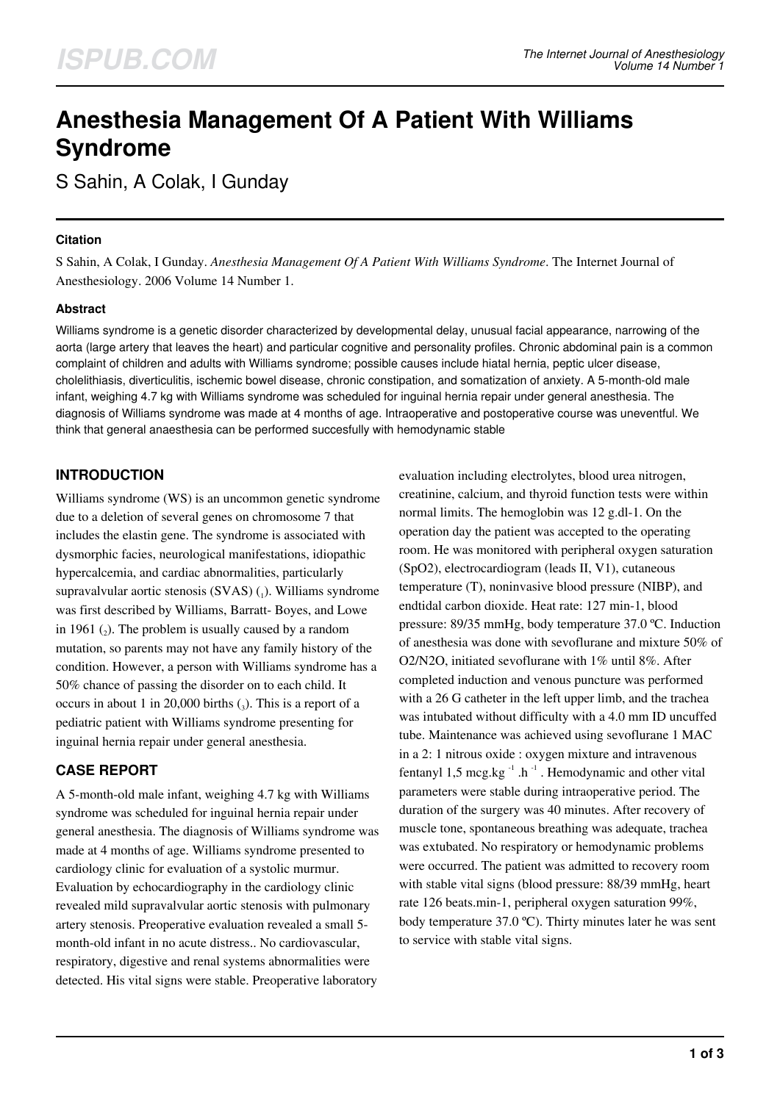# **Anesthesia Management Of A Patient With Williams Syndrome**

S Sahin, A Colak, I Gunday

## **Citation**

S Sahin, A Colak, I Gunday. *Anesthesia Management Of A Patient With Williams Syndrome*. The Internet Journal of Anesthesiology. 2006 Volume 14 Number 1.

## **Abstract**

Williams syndrome is a genetic disorder characterized by developmental delay, unusual facial appearance, narrowing of the aorta (large artery that leaves the heart) and particular cognitive and personality profiles. Chronic abdominal pain is a common complaint of children and adults with Williams syndrome; possible causes include hiatal hernia, peptic ulcer disease, cholelithiasis, diverticulitis, ischemic bowel disease, chronic constipation, and somatization of anxiety. A 5-month-old male infant, weighing 4.7 kg with Williams syndrome was scheduled for inguinal hernia repair under general anesthesia. The diagnosis of Williams syndrome was made at 4 months of age. Intraoperative and postoperative course was uneventful. We think that general anaesthesia can be performed succesfully with hemodynamic stable

## **INTRODUCTION**

Williams syndrome (WS) is an uncommon genetic syndrome due to a deletion of several genes on chromosome 7 that includes the elastin gene. The syndrome is associated with dysmorphic facies, neurological manifestations, idiopathic hypercalcemia, and cardiac abnormalities, particularly supravalvular aortic stenosis (SVAS) (1). Williams syndrome was first described by Williams, Barratt- Boyes, and Lowe in 1961  $(_{2})$ . The problem is usually caused by a random mutation, so parents may not have any family history of the condition. However, a person with Williams syndrome has a 50% chance of passing the disorder on to each child. It occurs in about 1 in 20,000 births  $\binom{1}{3}$ . This is a report of a pediatric patient with Williams syndrome presenting for inguinal hernia repair under general anesthesia.

## **CASE REPORT**

A 5-month-old male infant, weighing 4.7 kg with Williams syndrome was scheduled for inguinal hernia repair under general anesthesia. The diagnosis of Williams syndrome was made at 4 months of age. Williams syndrome presented to cardiology clinic for evaluation of a systolic murmur. Evaluation by echocardiography in the cardiology clinic revealed mild supravalvular aortic stenosis with pulmonary artery stenosis. Preoperative evaluation revealed a small 5 month-old infant in no acute distress.. No cardiovascular, respiratory, digestive and renal systems abnormalities were detected. His vital signs were stable. Preoperative laboratory

evaluation including electrolytes, blood urea nitrogen, creatinine, calcium, and thyroid function tests were within normal limits. The hemoglobin was 12 g.dl-1. On the operation day the patient was accepted to the operating room. He was monitored with peripheral oxygen saturation (SpO2), electrocardiogram (leads II, V1), cutaneous temperature (T), noninvasive blood pressure (NIBP), and endtidal carbon dioxide. Heat rate: 127 min-1, blood pressure: 89/35 mmHg, body temperature 37.0 ºC. Induction of anesthesia was done with sevoflurane and mixture 50% of O2/N2O, initiated sevoflurane with 1% until 8%. After completed induction and venous puncture was performed with a 26 G catheter in the left upper limb, and the trachea was intubated without difficulty with a 4.0 mm ID uncuffed tube. Maintenance was achieved using sevoflurane 1 MAC in a 2: 1 nitrous oxide : oxygen mixture and intravenous fentanyl 1,5 mcg.kg $^{-1}$ .h $^{-1}$ . Hemodynamic and other vital parameters were stable during intraoperative period. The duration of the surgery was 40 minutes. After recovery of muscle tone, spontaneous breathing was adequate, trachea was extubated. No respiratory or hemodynamic problems were occurred. The patient was admitted to recovery room with stable vital signs (blood pressure: 88/39 mmHg, heart rate 126 beats.min-1, peripheral oxygen saturation 99%, body temperature 37.0 ºC). Thirty minutes later he was sent to service with stable vital signs.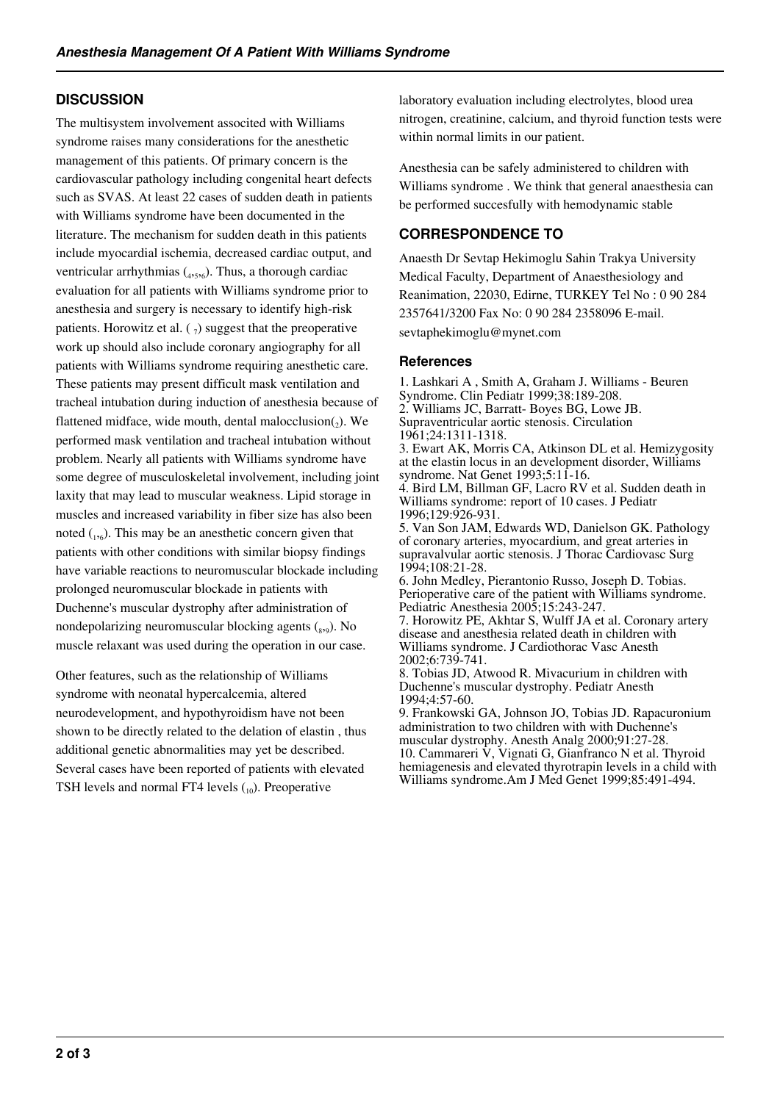## **DISCUSSION**

The multisystem involvement associted with Williams syndrome raises many considerations for the anesthetic management of this patients. Of primary concern is the cardiovascular pathology including congenital heart defects such as SVAS. At least 22 cases of sudden death in patients with Williams syndrome have been documented in the literature. The mechanism for sudden death in this patients include myocardial ischemia, decreased cardiac output, and ventricular arrhythmias  $(4, 5, 6)$ . Thus, a thorough cardiac evaluation for all patients with Williams syndrome prior to anesthesia and surgery is necessary to identify high-risk patients. Horowitz et al.  $(\gamma)$  suggest that the preoperative work up should also include coronary angiography for all patients with Williams syndrome requiring anesthetic care. These patients may present difficult mask ventilation and tracheal intubation during induction of anesthesia because of flattened midface, wide mouth, dental malocclusion $_2$ ). We performed mask ventilation and tracheal intubation without problem. Nearly all patients with Williams syndrome have some degree of musculoskeletal involvement, including joint laxity that may lead to muscular weakness. Lipid storage in muscles and increased variability in fiber size has also been noted  $_{1,6}$ ). This may be an anesthetic concern given that patients with other conditions with similar biopsy findings have variable reactions to neuromuscular blockade including prolonged neuromuscular blockade in patients with Duchenne's muscular dystrophy after administration of nondepolarizing neuromuscular blocking agents (<sub>829</sub>). No muscle relaxant was used during the operation in our case.

Other features, such as the relationship of Williams syndrome with neonatal hypercalcemia, altered neurodevelopment, and hypothyroidism have not been shown to be directly related to the delation of elastin , thus additional genetic abnormalities may yet be described. Several cases have been reported of patients with elevated TSH levels and normal FT4 levels  $_{10}$ ). Preoperative

laboratory evaluation including electrolytes, blood urea nitrogen, creatinine, calcium, and thyroid function tests were within normal limits in our patient.

Anesthesia can be safely administered to children with Williams syndrome . We think that general anaesthesia can be performed succesfully with hemodynamic stable

## **CORRESPONDENCE TO**

Anaesth Dr Sevtap Hekimoglu Sahin Trakya University Medical Faculty, Department of Anaesthesiology and Reanimation, 22030, Edirne, TURKEY Tel No : 0 90 284 2357641/3200 Fax No: 0 90 284 2358096 E-mail. sevtaphekimoglu@mynet.com

## **References**

1. Lashkari A , Smith A, Graham J. Williams - Beuren Syndrome. Clin Pediatr 1999;38:189-208. 2. Williams JC, Barratt- Boyes BG, Lowe JB. Supraventricular aortic stenosis. Circulation 1961;24:1311-1318. 3. Ewart AK, Morris CA, Atkinson DL et al. Hemizygosity at the elastin locus in an development disorder, Williams syndrome. Nat Genet 1993;5:11-16. 4. Bird LM, Billman GF, Lacro RV et al. Sudden death in

Williams syndrome: report of 10 cases. J Pediatr 1996;129:926-931.

5. Van Son JAM, Edwards WD, Danielson GK. Pathology of coronary arteries, myocardium, and great arteries in supravalvular aortic stenosis. J Thorac Cardiovasc Surg 1994;108:21-28.

6. John Medley, Pierantonio Russo, Joseph D. Tobias. Perioperative care of the patient with Williams syndrome. Pediatric Anesthesia 2005;15:243-247.

7. Horowitz PE, Akhtar S, Wulff JA et al. Coronary artery disease and anesthesia related death in children with Williams syndrome. J Cardiothorac Vasc Anesth 2002;6:739-741.

8. Tobias JD, Atwood R. Mivacurium in children with Duchenne's muscular dystrophy. Pediatr Anesth 1994;4:57-60.

9. Frankowski GA, Johnson JO, Tobias JD. Rapacuronium administration to two children with with Duchenne's muscular dystrophy. Anesth Analg 2000;91:27-28. 10. Cammareri V, Vignati G, Gianfranco N et al. Thyroid hemiagenesis and elevated thyrotrapin levels in a child with Williams syndrome.Am J Med Genet 1999;85:491-494.